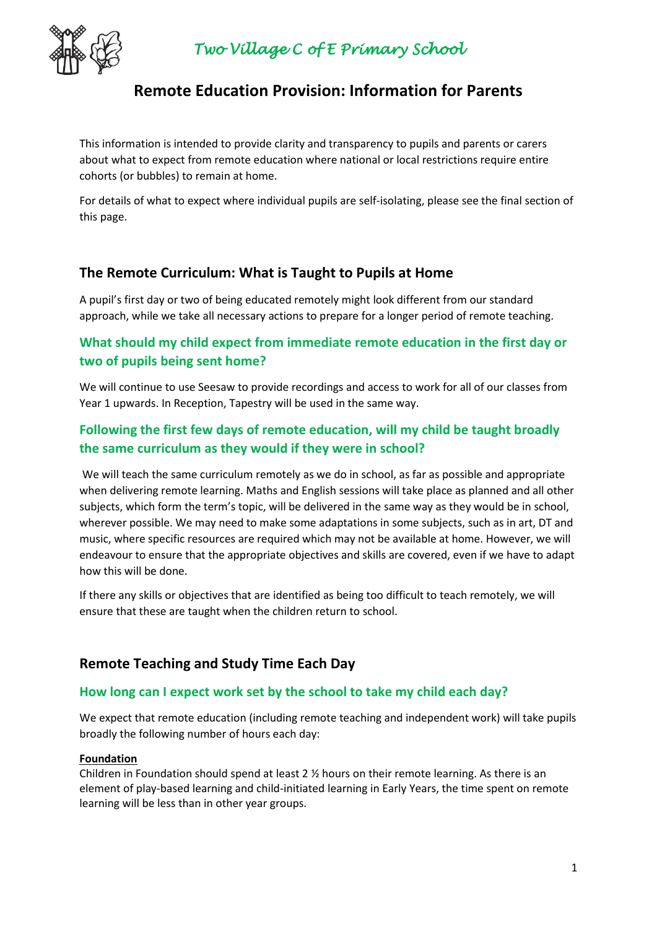

# **Remote Education Provision: Information for Parents**

This information is intended to provide clarity and transparency to pupils and parents or carers about what to expect from remote education where national or local restrictions require entire cohorts (or bubbles) to remain at home.

For details of what to expect where individual pupils are self-isolating, please see the final section of this page.

## **The Remote Curriculum: What is Taught to Pupils at Home**

A pupil's first day or two of being educated remotely might look different from our standard approach, while we take all necessary actions to prepare for a longer period of remote teaching.

## **What should my child expect from immediate remote education in the first day or two of pupils being sent home?**

We will continue to use Seesaw to provide recordings and access to work for all of our classes from Year 1 upwards. In Reception, Tapestry will be used in the same way.

## **Following the first few days of remote education, will my child be taught broadly the same curriculum as they would if they were in school?**

We will teach the same curriculum remotely as we do in school, as far as possible and appropriate when delivering remote learning. Maths and English sessions will take place as planned and all other subjects, which form the term's topic, will be delivered in the same way as they would be in school, wherever possible. We may need to make some adaptations in some subjects, such as in art, DT and music, where specific resources are required which may not be available at home. However, we will endeavour to ensure that the appropriate objectives and skills are covered, even if we have to adapt how this will be done.

If there any skills or objectives that are identified as being too difficult to teach remotely, we will ensure that these are taught when the children return to school.

## **Remote Teaching and Study Time Each Day**

#### **How long can I expect work set by the school to take my child each day?**

We expect that remote education (including remote teaching and independent work) will take pupils broadly the following number of hours each day:

#### **Foundation**

Children in Foundation should spend at least 2 ½ hours on their remote learning. As there is an element of play-based learning and child-initiated learning in Early Years, the time spent on remote learning will be less than in other year groups.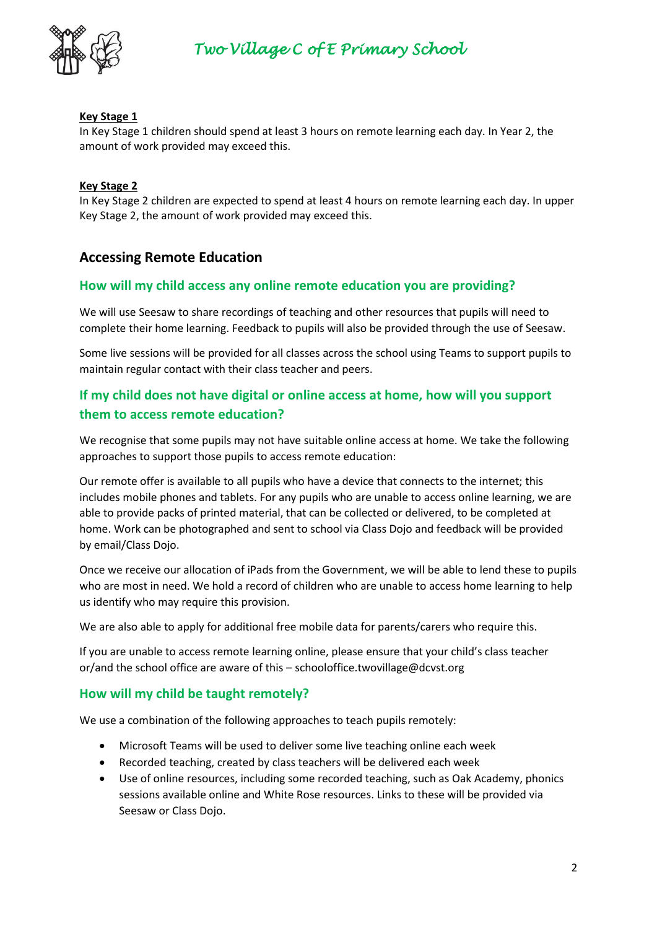

#### **Key Stage 1**

In Key Stage 1 children should spend at least 3 hours on remote learning each day. In Year 2, the amount of work provided may exceed this.

#### **Key Stage 2**

In Key Stage 2 children are expected to spend at least 4 hours on remote learning each day. In upper Key Stage 2, the amount of work provided may exceed this.

## **Accessing Remote Education**

#### **How will my child access any online remote education you are providing?**

We will use Seesaw to share recordings of teaching and other resources that pupils will need to complete their home learning. Feedback to pupils will also be provided through the use of Seesaw.

Some live sessions will be provided for all classes across the school using Teams to support pupils to maintain regular contact with their class teacher and peers.

## **If my child does not have digital or online access at home, how will you support them to access remote education?**

We recognise that some pupils may not have suitable online access at home. We take the following approaches to support those pupils to access remote education:

Our remote offer is available to all pupils who have a device that connects to the internet; this includes mobile phones and tablets. For any pupils who are unable to access online learning, we are able to provide packs of printed material, that can be collected or delivered, to be completed at home. Work can be photographed and sent to school via Class Dojo and feedback will be provided by email/Class Dojo.

Once we receive our allocation of iPads from the Government, we will be able to lend these to pupils who are most in need. We hold a record of children who are unable to access home learning to help us identify who may require this provision.

We are also able to apply for additional free mobile data for parents/carers who require this.

If you are unable to access remote learning online, please ensure that your child's class teacher or/and the school office are aware of this – schooloffice.twovillage@dcvst.org

#### **How will my child be taught remotely?**

We use a combination of the following approaches to teach pupils remotely:

- Microsoft Teams will be used to deliver some live teaching online each week
- Recorded teaching, created by class teachers will be delivered each week
- Use of online resources, including some recorded teaching, such as Oak Academy, phonics sessions available online and White Rose resources. Links to these will be provided via Seesaw or Class Dojo.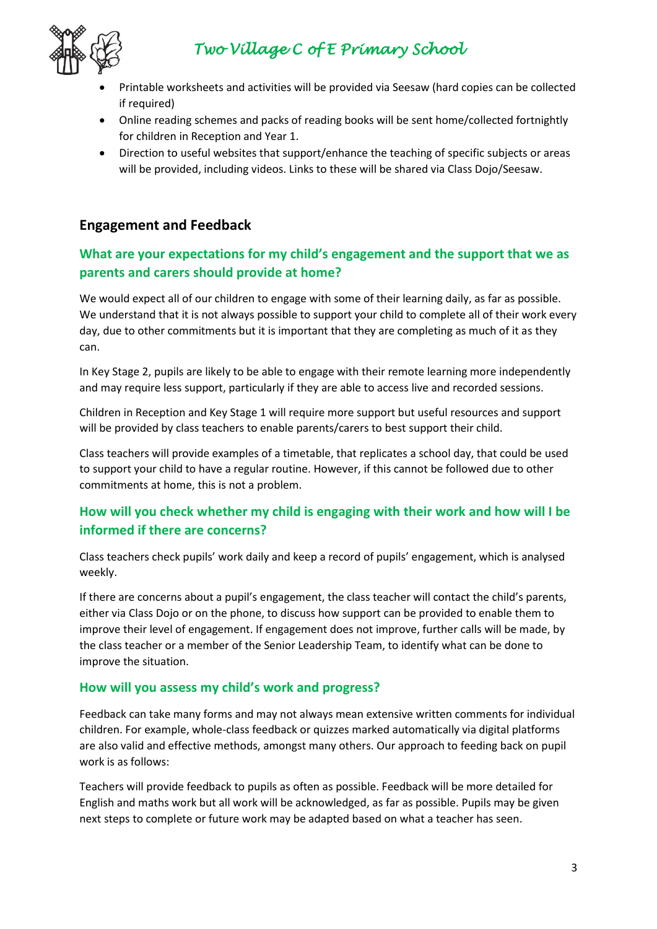

- Printable worksheets and activities will be provided via Seesaw (hard copies can be collected if required)
- Online reading schemes and packs of reading books will be sent home/collected fortnightly for children in Reception and Year 1.
- Direction to useful websites that support/enhance the teaching of specific subjects or areas will be provided, including videos. Links to these will be shared via Class Dojo/Seesaw.

# **Engagement and Feedback**

## **What are your expectations for my child's engagement and the support that we as parents and carers should provide at home?**

We would expect all of our children to engage with some of their learning daily, as far as possible. We understand that it is not always possible to support your child to complete all of their work every day, due to other commitments but it is important that they are completing as much of it as they can.

In Key Stage 2, pupils are likely to be able to engage with their remote learning more independently and may require less support, particularly if they are able to access live and recorded sessions.

Children in Reception and Key Stage 1 will require more support but useful resources and support will be provided by class teachers to enable parents/carers to best support their child.

Class teachers will provide examples of a timetable, that replicates a school day, that could be used to support your child to have a regular routine. However, if this cannot be followed due to other commitments at home, this is not a problem.

# **How will you check whether my child is engaging with their work and how will I be informed if there are concerns?**

Class teachers check pupils' work daily and keep a record of pupils' engagement, which is analysed weekly.

If there are concerns about a pupil's engagement, the class teacher will contact the child's parents, either via Class Dojo or on the phone, to discuss how support can be provided to enable them to improve their level of engagement. If engagement does not improve, further calls will be made, by the class teacher or a member of the Senior Leadership Team, to identify what can be done to improve the situation.

### **How will you assess my child's work and progress?**

Feedback can take many forms and may not always mean extensive written comments for individual children. For example, whole-class feedback or quizzes marked automatically via digital platforms are also valid and effective methods, amongst many others. Our approach to feeding back on pupil work is as follows:

Teachers will provide feedback to pupils as often as possible. Feedback will be more detailed for English and maths work but all work will be acknowledged, as far as possible. Pupils may be given next steps to complete or future work may be adapted based on what a teacher has seen.